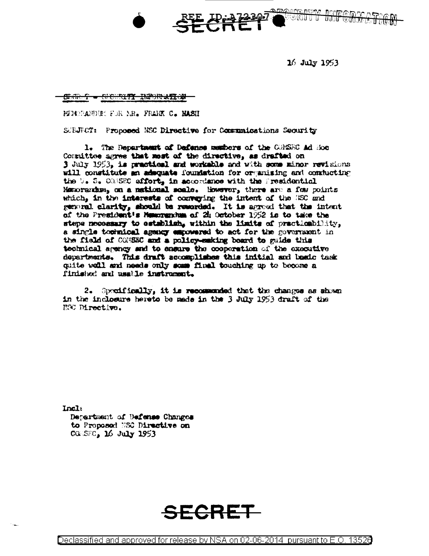$16$  July  $1953$ 

<u> என்றவை நிறுதிற்ற நூற்ற</u>

<del>᠓᠗᠉ᡀᢢ᠕᠕</del>

SLORE - GIOSTITI INFORMITOR

MUNCHANDUR FOR MR. FRANK C. MASH

SUBJECT: Proposed NSC Directive for Communications Security

1. The Department of Defense members of the CONSEC Ad Hoe Consittee agree that most of the directive, as drafted on 3 July 1953, is practical and workable and with some minor revisions will constitute an adequate foundation for organising and constucting the U.S. COMSEC affort, in accordance with the Presidential Memorandum, on a national scale. However, there are a fow points which, in the interests of conveying the intent of the SSC and general clarity, should be remorded. It is agreed that the intent of the President's Muscommoham of 24 October 1952 is to take the steps necessary to establish, within the limits of practicability, a single tochnical agency empowered to act for the government in the field of CONSEC and a policy-making board to guide this technical agency and to ensure the cooperation of the executive departments. This draft accomplishes this initial and basic task quite woll and needs only some final touching up to become a finished and usable instrument.

2. Specifically, it is recommended that the changes as shown in the inclosure hereto be made in the 3 July 1953 draft of the NGC Directive.

Incl Department of Defense Changes to Proposed NSC Directive on  $C(X)$  SFC, 16 July 1953

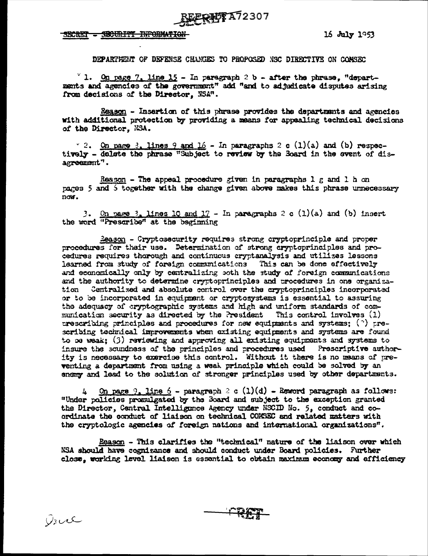## REFRIDENT2307

## SECRET - SECURITY INFORMATION-

DEPARTMENT OF DEFENSE CHANGES TO PROPOSED NSC DIRECTIVE ON COMSEC

 $^{\vee}$  1. On page 7. line 15 - In paragraph 2 b - after the phrase, "departments and agencies of the government" add "and to adjudicate disputes arising from decisions of the Director. NSA".

Reason - Insertion of this phrase provides the departments and agencies with additional protection by providing a means for appealing technical decisions of the Director. NSA.

 $\leq$  2. On page 3, lines 9 and 16 - In paragraphs 2 c (1)(a) and (b) respectively - delete the phrase "Subject to review by the Board in the event of disagreement".

Reason - The appeal procedure given in paragraphs  $1$  g and  $1$  h on pages 5 and 5 together with the change given above makes this phrase unnecessary now.

3. On page 3, lines 10 and 17 - In paragraphs 2 c  $(1)(a)$  and  $(b)$  insert the word "Prescribe" at the beginning

Reason - Cryptosecurity requires strong oryptoprinciple and proper procedures for their use. Determination of strong cryptoprinciples and procedures requires thorough and continuous cryptanalysis and utilizes lessons learned from study of foreign communications This can be done effectively and economically only by centralizing soth the study of foreign communications and the authority to determine cryptoprinciples and procedures in one organization Centralized and absolute control over the cryptoprinciples incorporated or to be incorporated in equipment or cryptosystems is essential to assuring the adequacy of cryptographic systems and high and uniform standards of communication security as directed by the President This control involves (1) prescribing principles and procedures for new equipments and systems;  $(2)$  prescribing technical improvements when existing equipments and systems are found to be weak: (3) reviewing and approving all existing equipments and systems to insure the soundness of the principles and procedures used Prescriptive authority is necessary to exercise this control. Without it there is no means of preventing a department from using a weak principle which could be solved by an engmy and lead to the solution of stronger principles used by other departments.

4 On page 9. line  $6$  - paragraph 2 c (1)(d) - Reword paragraph as follows: "Under policies promulgated by the Board and subject to the exception granted the Director. Central Intelligence Agency under NSCID No. 5, conduct and coordinate the conduct of liaison on technical COMSEC and ralated matters with the cryptologic agencies of foreign nations and international organizations".

Reason - This clarifies the "technical" nature of the liaison over which NSA should have cognisance and should conduct under Board policies. Further close, working level liaison is essential to obtain maximum economy and efficiency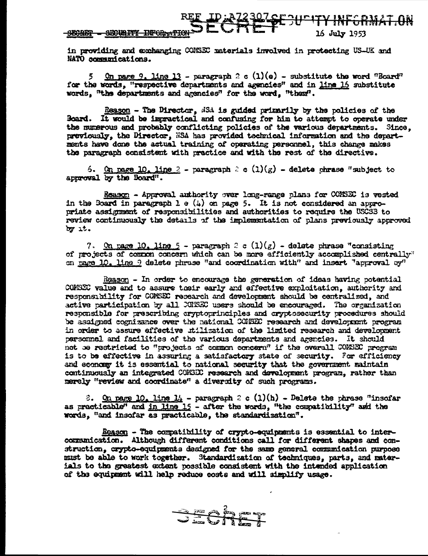## <del>"ITY INFORMAT.ON</del> 16 July 1953 SECURITY INFORM <del>SKORET</del>

in providing and exchanging COMSEC materials involved in protecting US-UK and NATO communications.

5 On page 9, line 13 - paragraph 2 c (1)(e) - substitute the word "Board" for the words, "respective departments and agencies" and in line 15 substitute words. "the departments and agencies" for the word. "them".

Reason - The Director, dSA is guided primarily by the policies of the Beard. It would be immactical and confusing for him to attempt to operate under the munerous and probably conflicting policies of the various departments. Since. previously, the Director, NSA has provided technical information and the departments have done the actual training of operating personnel, this change makes the paragraph consistent with practice and with the rest of the directive.

6. On page 10, line 2 - paragraph 2 c  $(1)(\rho)$  - delete phrase "subject to approval by the Board".

Reason - Approval authority over long-range plans for CONSEC is vested in the Board in paragraph  $1 \cdot e$  (4) on page 5. It is not considered an appropriate assignment of responsibilities and authorities to require the USCS3 to review continuously the details of the implementation of plans previously approved  $br$  it.

7. On page 10, line 5 - paragraph 2 c  $(1)(g)$  - delste phrase "consisting of projects of common concern which can be more efficiently accomplished centrally" on page 10. line 9 delete phrase "and coordination with" and insert "approval oy"

Reason - In order to encourage the generation of ideas having potential COMBEC value and to assure their early and effective exploitation, authority and responsibility for CONSEC research and development should be centralized, and active participation by all JONSEC users should be encouraged. The organization responsible for prescribing cryptoprinciples and cryptosecurity procedures should be assigned cognizance over the national COMSEC research and development program in order to assure effective utilization of the limited research and development personnel and facilities of the various departments and agencies. It should not be restricted to "projects of common concern" if the overall COMSEC program is to be effective in assuring a satisfactory state of security. For efficiency and economy it is essential to national security that the government maintain continuously an integrated COMSEC research and development program, rather than merely "review and coordinate" a diversity of such programs.

3. On page 10, line 14 - paragraph 2 c (1)(h) - Delete the phrase "insofar as practicable" and in line 15 - after the words. "the compatibility" and the words, "and insofar as practicable, the standardization".

Reason - The compatibility of crypto-equipments is essential to intercommanication. Although different conditions call for different shapes and construction, crypto-equipments designed for the same general communication purpose must be able to work together. Standardization of techniques, parts, and materials to the greatest extent possible consistent with the intended application of the equipment will help reduce costs and will simplify usage.

**BECAMET**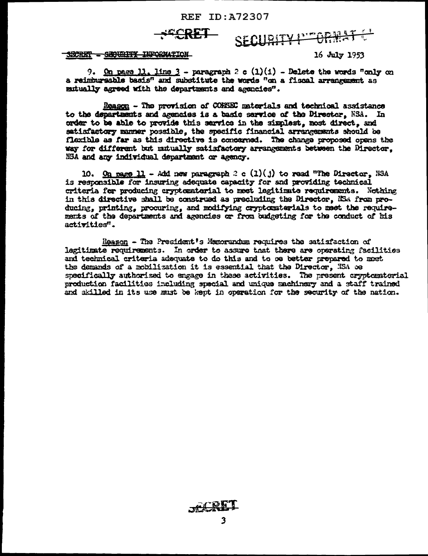## SECRET - SECURITY INFORMATION

16 July 1953

SECURITY PUPPERAT

9. On page 11, line  $3$  - paragraph 2 c  $(1)(1)$  - Delete the words "only on a reimbursable basis" and substitute the words "on a fiscal arrangement as mutually agreed with the departments and agencies".

Reason - The provision of COMSEC materials and technical assistance to the departments and agencies is a basic service of the Director. NSA. In order to be able to provide this service in the simplest, most direct, and satisfactory manner possible, the specific financial arrangements should be flexible as far as this directive is concerned. The change proposed opens the way for different but mutually satisfactory arrangements between the Director. NSA and any individual department or agency.

10. On page 11 - Add new paragraph 2 c  $(1)(j)$  to read "The Director, NSA is responsible for insuring adequate capacity for and providing technical criteria for producing cryptomaterial to meet legitimate requirements. Nothing in this directive shall be construed as precluding the Director, NSA from producing, printing, procuring, and modifying cryptomaterials to meet the requirements of the departments and agencies or from budgeting for the conduct of his activities".

Reason - The President's Memorandum requires the satisfaction of legitimate requirements. In order to assure that there are operating facilities and technical criteria adequate to do this and to be better prepared to meet the demands of a mobilization it is essential that the Director. ISA os specifically authorized to engage in these activities. The present cryptomatorial production facilities including special and unique machinery and a staff trained and skilled in its use must be kept in operation for the security of the nation.